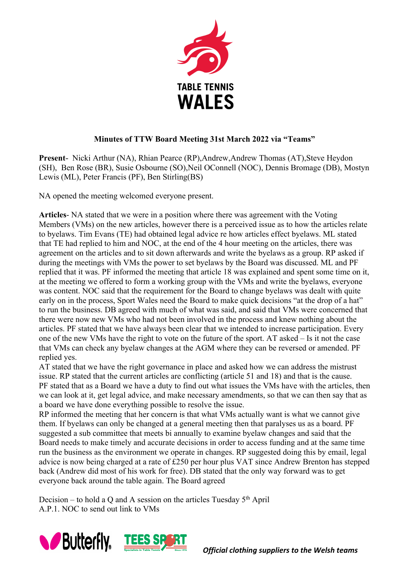

## **Minutes of TTW Board Meeting 31st March 2022 via "Teams"**

**Present-** Nicki Arthur (NA), Rhian Pearce (RP),Andrew,Andrew Thomas (AT),Steve Heydon (SH), Ben Rose (BR), Susie Osbourne (SO),Neil OConnell (NOC), Dennis Bromage (DB), Mostyn Lewis (ML), Peter Francis (PF), Ben Stirling(BS)

NA opened the meeting welcomed everyone present.

**Articles**- NA stated that we were in a position where there was agreement with the Voting Members (VMs) on the new articles, however there is a perceived issue as to how the articles relate to byelaws. Tim Evans (TE) had obtained legal advice re how articles effect byelaws. ML stated that TE had replied to him and NOC, at the end of the 4 hour meeting on the articles, there was agreement on the articles and to sit down afterwards and write the byelaws as a group. RP asked if during the meetings with VMs the power to set byelaws by the Board was discussed. ML and PF replied that it was. PF informed the meeting that article 18 was explained and spent some time on it, at the meeting we offered to form a working group with the VMs and write the byelaws, everyone was content. NOC said that the requirement for the Board to change byelaws was dealt with quite early on in the process, Sport Wales need the Board to make quick decisions "at the drop of a hat" to run the business. DB agreed with much of what was said, and said that VMs were concerned that there were now new VMs who had not been involved in the process and knew nothing about the articles. PF stated that we have always been clear that we intended to increase participation. Every one of the new VMs have the right to vote on the future of the sport. AT asked – Is it not the case that VMs can check any byelaw changes at the AGM where they can be reversed or amended. PF replied yes.

AT stated that we have the right governance in place and asked how we can address the mistrust issue. RP stated that the current articles are conflicting (article 51 and 18) and that is the cause. PF stated that as a Board we have a duty to find out what issues the VMs have with the articles, then we can look at it, get legal advice, and make necessary amendments, so that we can then say that as a board we have done everything possible to resolve the issue.

RP informed the meeting that her concern is that what VMs actually want is what we cannot give them. If byelaws can only be changed at a general meeting then that paralyses us as a board. PF suggested a sub committee that meets bi annually to examine byelaw changes and said that the Board needs to make timely and accurate decisions in order to access funding and at the same time run the business as the environment we operate in changes. RP suggested doing this by email, legal advice is now being charged at a rate of £250 per hour plus VAT since Andrew Brenton has stepped back (Andrew did most of his work for free). DB stated that the only way forward was to get everyone back around the table again. The Board agreed

Decision – to hold a Q and A session on the articles Tuesday  $5<sup>th</sup>$  April A.P.1. NOC to send out link to VMs

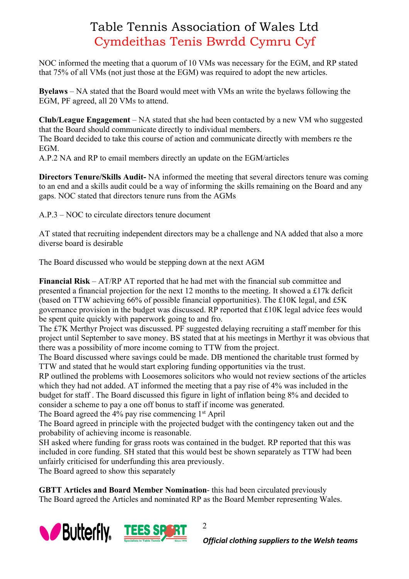## Table Tennis Association of Wales Ltd Cymdeithas Tenis Bwrdd Cymru Cyf

NOC informed the meeting that a quorum of 10 VMs was necessary for the EGM, and RP stated that 75% of all VMs (not just those at the EGM) was required to adopt the new articles.

**Byelaws** – NA stated that the Board would meet with VMs an write the byelaws following the EGM, PF agreed, all 20 VMs to attend.

**Club/League Engagement** – NA stated that she had been contacted by a new VM who suggested that the Board should communicate directly to individual members.

The Board decided to take this course of action and communicate directly with members re the EGM.

A.P.2 NA and RP to email members directly an update on the EGM/articles

**Directors Tenure/Skills Audit-** NA informed the meeting that several directors tenure was coming to an end and a skills audit could be a way of informing the skills remaining on the Board and any gaps. NOC stated that directors tenure runs from the AGMs

A.P.3 – NOC to circulate directors tenure document

AT stated that recruiting independent directors may be a challenge and NA added that also a more diverse board is desirable

The Board discussed who would be stepping down at the next AGM

**Financial Risk** – AT/RP AT reported that he had met with the financial sub committee and presented a financial projection for the next 12 months to the meeting. It showed a £17k deficit (based on TTW achieving 66% of possible financial opportunities). The £10K legal, and £5K governance provision in the budget was discussed. RP reported that £10K legal advice fees would be spent quite quickly with paperwork going to and fro.

The £7K Merthyr Project was discussed. PF suggested delaying recruiting a staff member for this project until September to save money. BS stated that at his meetings in Merthyr it was obvious that there was a possibility of more income coming to TTW from the project.

The Board discussed where savings could be made. DB mentioned the charitable trust formed by TTW and stated that he would start exploring funding opportunities via the trust.

RP outlined the problems with Loosemores solicitors who would not review sections of the articles which they had not added. AT informed the meeting that a pay rise of 4% was included in the budget for staff . The Board discussed this figure in light of inflation being 8% and decided to consider a scheme to pay a one off bonus to staff if income was generated.

The Board agreed the 4% pay rise commencing 1st April

The Board agreed in principle with the projected budget with the contingency taken out and the probability of achieving income is reasonable.

SH asked where funding for grass roots was contained in the budget. RP reported that this was included in core funding. SH stated that this would best be shown separately as TTW had been unfairly criticised for underfunding this area previously.

The Board agreed to show this separately

**GBTT Articles and Board Member Nomination**- this had been circulated previously The Board agreed the Articles and nominated RP as the Board Member representing Wales.



2